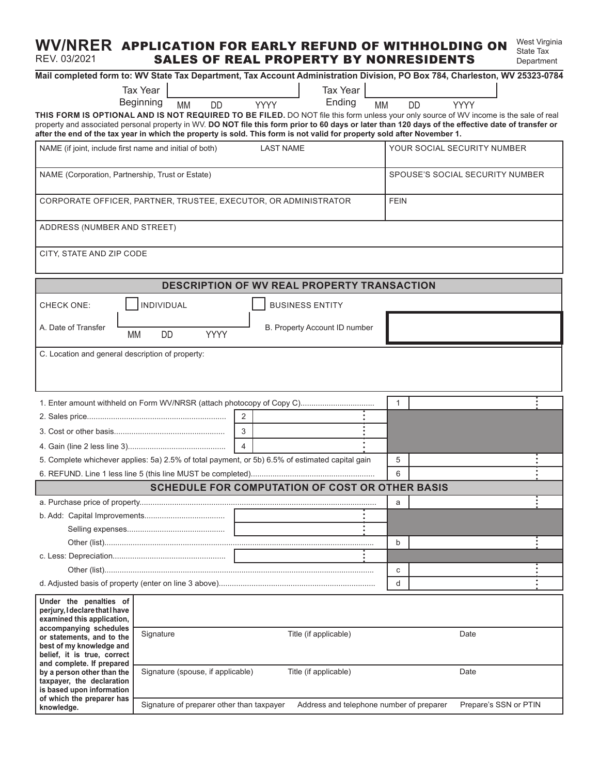#### **WV/NRER APPLICATION FOR EARLY REFUND OF WITHHOLDING ON** West Virginia REV. 03/2021 SALES OF REAL PROPERTY BY NONRESIDENTS State Tax Department

| Mail completed form to: WV State Tax Department, Tax Account Administration Division, PO Box 784, Charleston, WV 25323-0784                                                                                                                                                                                                                                                                                             |                                                                                       |           |                                            |                         |             |                        |                               |           |              |                                 |                             |                       |  |  |
|-------------------------------------------------------------------------------------------------------------------------------------------------------------------------------------------------------------------------------------------------------------------------------------------------------------------------------------------------------------------------------------------------------------------------|---------------------------------------------------------------------------------------|-----------|--------------------------------------------|-------------------------|-------------|------------------------|-------------------------------|-----------|--------------|---------------------------------|-----------------------------|-----------------------|--|--|
|                                                                                                                                                                                                                                                                                                                                                                                                                         | <b>Tax Year</b>                                                                       |           |                                            |                         |             |                        | Tax Year                      |           |              |                                 |                             |                       |  |  |
|                                                                                                                                                                                                                                                                                                                                                                                                                         | Beginning                                                                             | <b>MM</b> | <b>DD</b>                                  |                         | <b>YYYY</b> |                        | Ending                        | <b>MM</b> |              | <b>DD</b>                       | <b>YYYY</b>                 |                       |  |  |
| THIS FORM IS OPTIONAL AND IS NOT REQUIRED TO BE FILED. DO NOT file this form unless your only source of WV income is the sale of real<br>property and associated personal property in WV. DO NOT file this form prior to 60 days or later than 120 days of the effective date of transfer or<br>after the end of the tax year in which the property is sold. This form is not valid for property sold after November 1. |                                                                                       |           |                                            |                         |             |                        |                               |           |              |                                 |                             |                       |  |  |
| NAME (if joint, include first name and initial of both)<br><b>LAST NAME</b>                                                                                                                                                                                                                                                                                                                                             |                                                                                       |           |                                            |                         |             |                        |                               |           |              |                                 | YOUR SOCIAL SECURITY NUMBER |                       |  |  |
| NAME (Corporation, Partnership, Trust or Estate)                                                                                                                                                                                                                                                                                                                                                                        |                                                                                       |           |                                            |                         |             |                        |                               |           |              | SPOUSE'S SOCIAL SECURITY NUMBER |                             |                       |  |  |
| CORPORATE OFFICER, PARTNER, TRUSTEE, EXECUTOR, OR ADMINISTRATOR                                                                                                                                                                                                                                                                                                                                                         |                                                                                       |           |                                            |                         |             |                        |                               |           | <b>FEIN</b>  |                                 |                             |                       |  |  |
| ADDRESS (NUMBER AND STREET)                                                                                                                                                                                                                                                                                                                                                                                             |                                                                                       |           |                                            |                         |             |                        |                               |           |              |                                 |                             |                       |  |  |
| CITY, STATE AND ZIP CODE                                                                                                                                                                                                                                                                                                                                                                                                |                                                                                       |           |                                            |                         |             |                        |                               |           |              |                                 |                             |                       |  |  |
| <b>DESCRIPTION OF WV REAL PROPERTY TRANSACTION</b>                                                                                                                                                                                                                                                                                                                                                                      |                                                                                       |           |                                            |                         |             |                        |                               |           |              |                                 |                             |                       |  |  |
| <b>CHECK ONE:</b>                                                                                                                                                                                                                                                                                                                                                                                                       | INDIVIDUAL                                                                            |           |                                            |                         |             | <b>BUSINESS ENTITY</b> |                               |           |              |                                 |                             |                       |  |  |
| A. Date of Transfer                                                                                                                                                                                                                                                                                                                                                                                                     | DD<br>МM                                                                              |           | YYYY                                       |                         |             |                        | B. Property Account ID number |           |              |                                 |                             |                       |  |  |
| C. Location and general description of property:                                                                                                                                                                                                                                                                                                                                                                        |                                                                                       |           |                                            |                         |             |                        |                               |           |              |                                 |                             |                       |  |  |
|                                                                                                                                                                                                                                                                                                                                                                                                                         |                                                                                       |           |                                            |                         |             |                        |                               |           |              |                                 |                             |                       |  |  |
| 1. Enter amount withheld on Form WV/NRSR (attach photocopy of Copy C)                                                                                                                                                                                                                                                                                                                                                   |                                                                                       |           |                                            |                         |             |                        |                               |           | $\mathbf{1}$ |                                 |                             |                       |  |  |
|                                                                                                                                                                                                                                                                                                                                                                                                                         |                                                                                       |           |                                            | 2                       |             |                        |                               |           |              |                                 |                             |                       |  |  |
|                                                                                                                                                                                                                                                                                                                                                                                                                         |                                                                                       |           |                                            | $\overline{\mathbf{3}}$ |             |                        |                               |           |              |                                 |                             |                       |  |  |
|                                                                                                                                                                                                                                                                                                                                                                                                                         |                                                                                       |           |                                            | $\Delta$                |             |                        |                               |           |              |                                 |                             |                       |  |  |
| 5. Complete whichever applies: 5a) 2.5% of total payment, or 5b) 6.5% of estimated capital gain                                                                                                                                                                                                                                                                                                                         |                                                                                       |           |                                            |                         |             |                        |                               |           | 5            |                                 |                             |                       |  |  |
| <b>SCHEDULE FOR COMPUTATION OF COST OR OTHER BASIS</b>                                                                                                                                                                                                                                                                                                                                                                  |                                                                                       |           |                                            |                         |             |                        |                               |           | 6            |                                 |                             |                       |  |  |
|                                                                                                                                                                                                                                                                                                                                                                                                                         |                                                                                       |           |                                            |                         |             |                        |                               |           |              |                                 |                             |                       |  |  |
|                                                                                                                                                                                                                                                                                                                                                                                                                         |                                                                                       |           | <b>Contract Contract Contract Contract</b> |                         |             |                        |                               |           | a            |                                 |                             |                       |  |  |
|                                                                                                                                                                                                                                                                                                                                                                                                                         |                                                                                       |           |                                            |                         |             |                        |                               |           |              |                                 |                             |                       |  |  |
|                                                                                                                                                                                                                                                                                                                                                                                                                         |                                                                                       |           |                                            |                         |             |                        |                               |           | $\mathbf b$  |                                 |                             |                       |  |  |
|                                                                                                                                                                                                                                                                                                                                                                                                                         |                                                                                       |           |                                            |                         |             |                        |                               |           |              |                                 |                             |                       |  |  |
|                                                                                                                                                                                                                                                                                                                                                                                                                         |                                                                                       |           |                                            |                         |             |                        |                               |           | C            |                                 |                             |                       |  |  |
|                                                                                                                                                                                                                                                                                                                                                                                                                         |                                                                                       |           |                                            |                         |             |                        |                               |           | d            |                                 |                             |                       |  |  |
| Under the penalties of                                                                                                                                                                                                                                                                                                                                                                                                  |                                                                                       |           |                                            |                         |             |                        |                               |           |              |                                 |                             |                       |  |  |
| perjury, I declare that I have                                                                                                                                                                                                                                                                                                                                                                                          |                                                                                       |           |                                            |                         |             |                        |                               |           |              |                                 |                             |                       |  |  |
| examined this application,<br>accompanying schedules                                                                                                                                                                                                                                                                                                                                                                    |                                                                                       |           |                                            |                         |             |                        |                               |           |              |                                 |                             |                       |  |  |
| or statements, and to the<br>best of my knowledge and                                                                                                                                                                                                                                                                                                                                                                   | Title (if applicable)<br>Date<br>Signature                                            |           |                                            |                         |             |                        |                               |           |              |                                 |                             |                       |  |  |
| belief, it is true, correct<br>and complete. If prepared                                                                                                                                                                                                                                                                                                                                                                |                                                                                       |           |                                            |                         |             |                        |                               |           |              |                                 |                             |                       |  |  |
| by a person other than the<br>taxpayer, the declaration<br>is based upon information                                                                                                                                                                                                                                                                                                                                    | Signature (spouse, if applicable)<br>Title (if applicable)<br>Date                    |           |                                            |                         |             |                        |                               |           |              |                                 |                             |                       |  |  |
| of which the preparer has<br>knowledge.                                                                                                                                                                                                                                                                                                                                                                                 | Signature of preparer other than taxpayer<br>Address and telephone number of preparer |           |                                            |                         |             |                        |                               |           |              |                                 |                             | Prepare's SSN or PTIN |  |  |